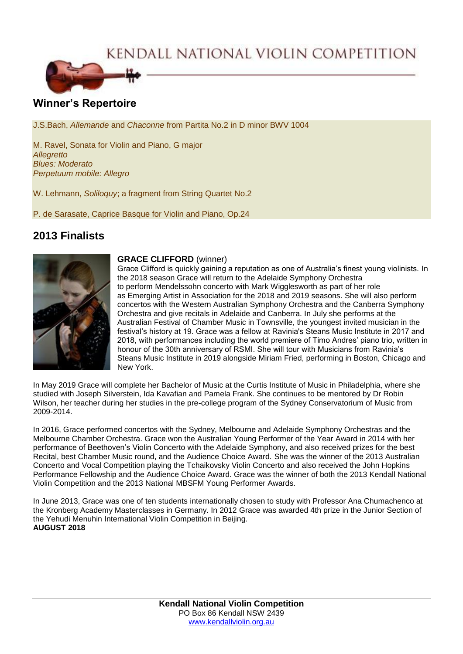KENDALL NATIONAL VIOLIN COMPETITION



## **Winner's Repertoire**

J.S.Bach, *Allemande* and *Chaconne* from Partita No.2 in D minor BWV 1004

M. Ravel, Sonata for Violin and Piano, G major *Allegretto Blues: Moderato Perpetuum mobile: Allegro*

W. Lehmann, *Soliloquy*; a fragment from String Quartet No.2

P. de Sarasate, Caprice Basque for Violin and Piano, Op.24

# **2013 Finalists**



## **GRACE CLIFFORD** (winner)

Grace Clifford is quickly gaining a reputation as one of Australia's finest young violinists. In the 2018 season Grace will return to the Adelaide Symphony Orchestra to perform Mendelssohn concerto with Mark Wigglesworth as part of her role as Emerging Artist in Association for the 2018 and 2019 seasons. She will also perform concertos with the Western Australian Symphony Orchestra and the Canberra Symphony Orchestra and give recitals in Adelaide and Canberra. In July she performs at the Australian Festival of Chamber Music in Townsville, the youngest invited musician in the festival's history at 19. Grace was a fellow at Ravinia's Steans Music Institute in 2017 and 2018, with performances including the world premiere of Timo Andres' piano trio, written in honour of the 30th anniversary of RSMI. She will tour with Musicians from Ravinia's Steans Music Institute in 2019 alongside Miriam Fried, performing in Boston, Chicago and New York.

In May 2019 Grace will complete her Bachelor of Music at the Curtis Institute of Music in Philadelphia, where she studied with Joseph Silverstein, Ida Kavafian and Pamela Frank. She continues to be mentored by Dr Robin Wilson, her teacher during her studies in the pre-college program of the Sydney Conservatorium of Music from 2009-2014.

In 2016, Grace performed concertos with the Sydney, Melbourne and Adelaide Symphony Orchestras and the Melbourne Chamber Orchestra. Grace won the Australian Young Performer of the Year Award in 2014 with her performance of Beethoven's Violin Concerto with the Adelaide Symphony, and also received prizes for the best Recital, best Chamber Music round, and the Audience Choice Award. She was the winner of the 2013 Australian Concerto and Vocal Competition playing the Tchaikovsky Violin Concerto and also received the John Hopkins Performance Fellowship and the Audience Choice Award. Grace was the winner of both the 2013 Kendall National Violin Competition and the 2013 National MBSFM Young Performer Awards.

In June 2013, Grace was one of ten students internationally chosen to study with Professor Ana Chumachenco at the Kronberg Academy Masterclasses in Germany. In 2012 Grace was awarded 4th prize in the Junior Section of the Yehudi Menuhin International Violin Competition in Beijing. **AUGUST 2018**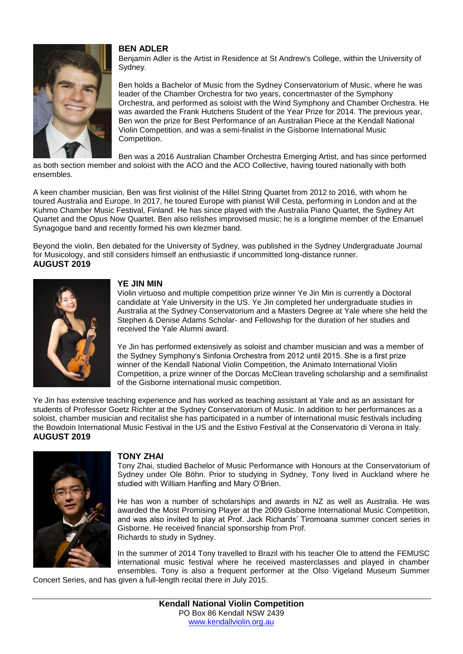

ensembles.

## **BEN ADLER**

Benjamin Adler is the Artist in Residence at St Andrew's College, within the University of Sydney.

Ben holds a Bachelor of Music from the Sydney Conservatorium of Music, where he was leader of the Chamber Orchestra for two years, concertmaster of the Symphony Orchestra, and performed as soloist with the Wind Symphony and Chamber Orchestra. He was awarded the Frank Hutchens Student of the Year Prize for 2014. The previous year, Ben won the prize for Best Performance of an Australian Piece at the Kendall National Violin Competition, and was a semi-finalist in the Gisborne International Music Competition.

Ben was a 2016 Australian Chamber Orchestra Emerging Artist, and has since performed as both section member and soloist with the ACO and the ACO Collective, having toured nationally with both

A keen chamber musician, Ben was first violinist of the Hillel String Quartet from 2012 to 2016, with whom he toured Australia and Europe. In 2017, he toured Europe with pianist Will Cesta, performing in London and at the Kuhmo Chamber Music Festival, Finland. He has since played with the Australia Piano Quartet, the Sydney Art Quartet and the Opus Now Quartet. Ben also relishes improvised music; he is a longtime member of the Emanuel Synagogue band and recently formed his own klezmer band.

Beyond the violin, Ben debated for the University of Sydney, was published in the Sydney Undergraduate Journal for Musicology, and still considers himself an enthusiastic if uncommitted long-distance runner. **AUGUST 2019**



## **YE JIN MIN**

Violin virtuoso and multiple competition prize winner Ye Jin Min is currently a Doctoral candidate at Yale University in the US. Ye Jin completed her undergraduate studies in Australia at the Sydney Conservatorium and a Masters Degree at Yale where she held the Stephen & Denise Adams Scholar- and Fellowship for the duration of her studies and received the Yale Alumni award.

Ye Jin has performed extensively as soloist and chamber musician and was a member of the Sydney Symphony's Sinfonia Orchestra from 2012 until 2015. She is a first prize winner of the Kendall National Violin Competition, the Animato International Violin Competition, a prize winner of the Dorcas McClean traveling scholarship and a semifinalist of the Gisborne international music competition.

Ye Jin has extensive teaching experience and has worked as teaching assistant at Yale and as an assistant for students of Professor Goetz Richter at the Sydney Conservatorium of Music. In addition to her performances as a soloist, chamber musician and recitalist she has participated in a number of international music festivals including the Bowdoin International Music Festival in the US and the Estivo Festival at the Conservatorio di Verona in Italy. **AUGUST 2019**



## **TONY ZHAI**

Tony Zhai, studied Bachelor of Music Performance with Honours at the Conservatorium of Sydney under Ole Böhn. Prior to studying in Sydney, Tony lived in Auckland where he studied with William Hanfling and Mary O'Brien.

He has won a number of scholarships and awards in NZ as well as Australia. He was awarded the Most Promising Player at the 2009 Gisborne International Music Competition, and was also invited to play at Prof. Jack Richards' Tiromoana summer concert series in Gisborne. He received financial sponsorship from Prof. Richards to study in Sydney.

In the summer of 2014 Tony travelled to Brazil with his teacher Ole to attend the FEMUSC international music festival where he received masterclasses and played in chamber ensembles. Tony is also a frequent performer at the Olso Vigeland Museum Summer

Concert Series, and has given a full-length recital there in July 2015.